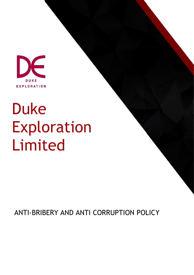

# Duke Exploration Limited

ANTI-BRIBERY AND ANTI CORRUPTION POLICY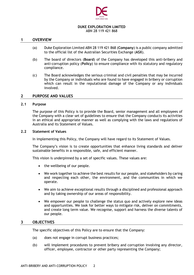

# **DUKE EXPLORATION LIMITED**

ABN 28 119 421 868

## **1 OVERVIEW**

- (a) Duke Exploration Limited ABN 28 119 421 868 (**Company**) is a public company admitted to the official list of the Australian Securities Exchange (**ASX**).
- (b) The board of directors (**Board**) of the Company has developed this anti-bribery and anti-corruption policy (**Policy**) to ensure compliance with its statutory and regulatory compliance.
- (c) The Board acknowledges the serious criminal and civil penalties that may be incurred by the Company or individuals who are found to have engaged in bribery or corruption which can result in the reputational damage of the Company or any individuals involved.

### **2 PURPOSE AND VALUES**

#### **2.1 Purpose**

The purpose of this Policy is to provide the Board, senior management and all employees of the Company with a clear set of guidelines to ensure that the Company conducts its activities in an ethical and appropriate manner as well as complying with the laws and regulations of Australia and its Statement of Values.

## **2.2 Statement of Values**

In implementing this Policy, the Company will have regard to its Statement of Values.

The Company's vision is to create opportunities that enhance living standards and deliver sustainable benefits in a responsible, safe, and efficient manner.

This vision is underpinned by a set of specific values. These values are:

- the wellbeing of our people.
- We work together to achieve the best results for our people, and stakeholders by caring and respecting each other, the environment, and the communities in which we operate.
- We aim to achieve exceptional results through a disciplined and professional approach and by taking ownership of our areas of responsibility.
- We empower our people to challenge the status quo and actively explore new ideas and opportunities. We look for better ways to mitigate risk, deliver on commitments, and create long term value. We recognise, support and harness the diverse talents of our people.

#### **3 OBJECTIVES**

The specific objectives of this Policy are to ensure that the Company:

- (a) does not engage in corrupt business practices;
- (b) will implement procedures to prevent bribery and corruption involving any director, officer, employee, contractor or other party representing the Company;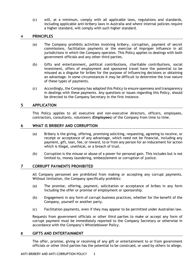(c) will, at a minimum, comply with all applicable laws, regulations and standards, including applicable anti-bribery laws in Australia and where internal policies require a higher standard, will comply with such higher standard.

# **4 PRINCIPLES**

- (a) The Company prohibits activities involving bribery, corruption, payment of secret commissions, facilitation payments or the exercise of improper influence in all jurisdictions in which the Company operates. This Policy applies to dealings with both government officials and any other third parties.
- (b) Gifts and entertainment, political contributions, charitable contributions, social investment, offers of employment and sponsored travel have the potential to be misused as a disguise for bribes for the purpose of influencing decisions or obtaining an advantage. In some circumstances it may be difficult to determine the true nature of these types of payments.
- (c) Accordingly, the Company has adopted this Policy to ensure openness and transparency in dealings with these payments. Any questions or issues regarding this Policy, should be directed to the Company Secretary in the first instance.

# **5 APPLICATION**

This Policy applies to all executive and non-executive directors, officers, employees, contractors, consultants, volunteers (**Employees**) of the Company from time to time.

# **6 WHAT IS BRIBERY AND CORRUPTION**

- (a) Bribery is the giving, offering, promising soliciting, requesting, agreeing to receive, or receipt or acceptance of any advantage, which need not be financial, including any payment, gift, loan, fee, or reward, to or from any person for an inducement for action which is illegal, unethical, or a breach of trust.
- (b) Corruption is the misuse or abuse of a power for personal gain. This includes but is not limited to, money laundering, embezzlement or corruption of justice.

# **7 CORRUPT PAYMENTS PROHIBITED**

All Company personnel are prohibited from making or accepting any corrupt payments. Without limitation, the Company specifically prohibits:

- (a) The promise, offering, payment, solicitation or acceptance of bribes in any form including the offer or promise of employment or sponsorship.
- (b) Engagement in any form of corrupt business practices, whether for the benefit of the Company, yourself or another party.
- (c) Facilitation payments, even if they may appear to be permitted under Australian law.

Requests from government officials or other third parties to make or accept any form of corrupt payment must be immediately reported to the Company Secretary or otherwise in accordance with the Company's Whistleblower Policy.

# **8 GIFTS AND ENTERTAINMENT**

The offer, promise, giving or receiving of any gift or entertainment to or from government officials or other third parties has the potential to be construed, or used by others to allege,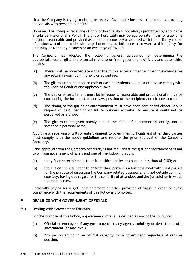that the Company is trying to obtain or receive favourable business treatment by providing individuals with personal benefits.

However, the giving or receiving of gifts or hospitality is not always prohibited by applicable anti-bribery laws or this Policy. The gift or hospitality may be appropriate if it is for a genuine purpose, reasonable and provided as a common courtesy associated with the ordinary course of business, and not made with any intentions to influence or reward a third party for obtaining or retaining business or an exchange of favours.

The Company has adopted the following general guidelines for determining the appropriateness of gifts and entertainment to or from government officials and other third parties:

- (a) There must be no expectation that the gift or entertainment is given in exchange for any return favour, commitment or advantage.
- (b) The gift must not be made in cash or cash equivalents and must otherwise comply with the Code of Conduct and applicable laws.
- (c) The gift or entertainment must be infrequent, reasonable and proportionate in value considering the local custom and law, position of the recipient and circumstances.
- (d) The timing of the gifting or entertainment must have been considered objectively in respect of past, pending or future business activities to ensure it could not be perceived as a bribe.
- (e) The gift must be given openly and in the name of a commercial entity, not in someone's personal name.

All giving or receiving of gifts or entertainment to government officials and other third parties must comply with the above guidelines and require the prior approval of the Company Secretary.

Prior approval from the Company Secretary is not required if the gift or entertainment is **not** to or from government officials and one of the following apply:

- (a) the gift or entertainment to or from third parties has a value less than AU\$100; or
- (b) the gift or entertainment to or from third parties is a business meal with third parties for the purpose of discussing the Company related business and is not outside common courtesy, having due regard for the seniority of attendees and the jurisdiction in which the meal occurs.

Personally paying for a gift, entertainment or other provision of value in order to avoid compliance with the requirements of this Policy is prohibited.

# **9 DEALINGS WITH GOVERNMENT OFFICIALS**

#### **9.1 Dealing with Government Officials**

For the purpose of this Policy, a government official is defined as any of the following:

- (a) Official or employee of any government, or any agency, ministry or department of a government (at any level).
- (b) Any person acting in an official capacity for a government regardless of rank or position.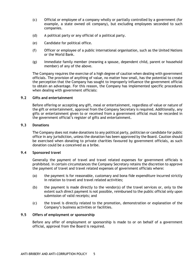- (c) Official or employee of a company wholly or partially controlled by a government (for example, a state owned oil company), but excluding employees seconded to such companies.
- (d) A political party or any official of a political party.
- (e) Candidate for political office.
- (f) Officer or employee of a public international organisation, such as the United Nations or the World Bank.
- (g) Immediate family member (meaning a spouse, dependent child, parent or household member) of any of the above.

The Company requires the exercise of a high degree of caution when dealing with government officials. The provision of anything of value, no matter how small, has the potential to create the perception that the Company has sought to improperly influence the government official to obtain an advantage. For this reason, the Company has implemented specific procedures when dealing with government officials:

### **9.2 Gifts and entertainment**

Before offering or accepting any gift, meal or entertainment, regardless of value or nature of the gift or entertainment, approval from the Company Secretary is required. Additionally, any gifts or entertainment given to or received from a government official must be recorded in the government official's register of gifts and entertainment.

### **9.3 Donations**

The Company does not make donations to any political party, politician or candidate for public office in any jurisdiction, unless the donation has been approved by the Board. Caution should be exercised when donating to private charities favoured by government officials, as such donation could be a conceived as a bribe.

# **9.4 Sponsored travel**

Generally the payment of travel and travel related expenses for government officials is prohibited. In certain circumstances the Company Secretary retains the discretion to approve the payment of travel and travel related expenses of government officials where:

- (a) the payment is for reasonable, customary and bona fide expenditure incurred strictly in relation to travel and travel related activities;
- (b) the payment is made directly to the vendor(s) of the travel services or, only to the extent such direct payment is not possible, reimbursed to the public official only upon submission of valid receipts; and
- (c) the travel is directly related to the promotion, demonstration or explanation of the Company's business activities or facilities.

# **9.5 Offers of employment or sponsorship**

Before any offer of employment or sponsorship is made to or on behalf of a government official, approval from the Board is required.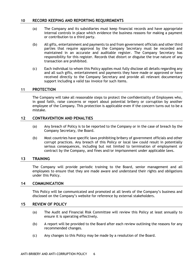# **10 RECORD KEEPING AND REPORTING REQUIREMENTS**

- (a) The Company and its subsidiaries must keep financial records and have appropriate internal controls in place which evidence the business reasons for making a payment or contribution to a third party.
- (b) All gifts, entertainment and payments to and from government officials and other third parties that require approval by the Company Secretary must be recorded and maintained in an accurate and auditable register. The Company Secretary has responsibility for this register. Records that distort or disguise the true nature of any transaction are prohibited.
- (c) Each individual to whom this Policy applies must fully disclose all details regarding any and all such gifts, entertainment and payments they have made or approved or have received directly to the Company Secretary and provide all relevant documentary support including a valid tax invoice for such items.

# **11 PROTECTION**

The Company will take all reasonable steps to protect the confidentiality of Employees who, in good faith, raise concerns or report about potential bribery or corruption by another employee of the Company. This protection is applicable even if the concern turns out to be a mistake.

# **12 CONTRAVENTION AND PENALTIES**

- (a) Any breach of Policy is to be reported to the Company or in the case of breach by the Company Secretary, the Board.
- (b) Most countries have specific laws prohibiting bribery of government officials and other corrupt practices. Any breach of this Policy or local law could result in potentially serious consequences, including but not limited to termination of employment or contract by the Company, and fines and/or imprisonment under applicable laws.

# **13 TRAINING**

The Company will provide periodic training to the Board, senior management and all employees to ensure that they are made aware and understand their rights and obligations under this Policy.

# **14 COMMUNICATION**

This Policy will be communicated and promoted at all levels of the Company's business and disclosed on the Company's website for reference by external stakeholders.

# **15 REVIEW OF POLICY**

- (a) The Audit and Financial Risk Committee will review this Policy at least annually to ensure it is operating effectively.
- (b) A report will be provided to the Board after each review outlining the reasons for any recommended changes.
- (c) Any changes to this Policy may be made by a resolution of the Board.